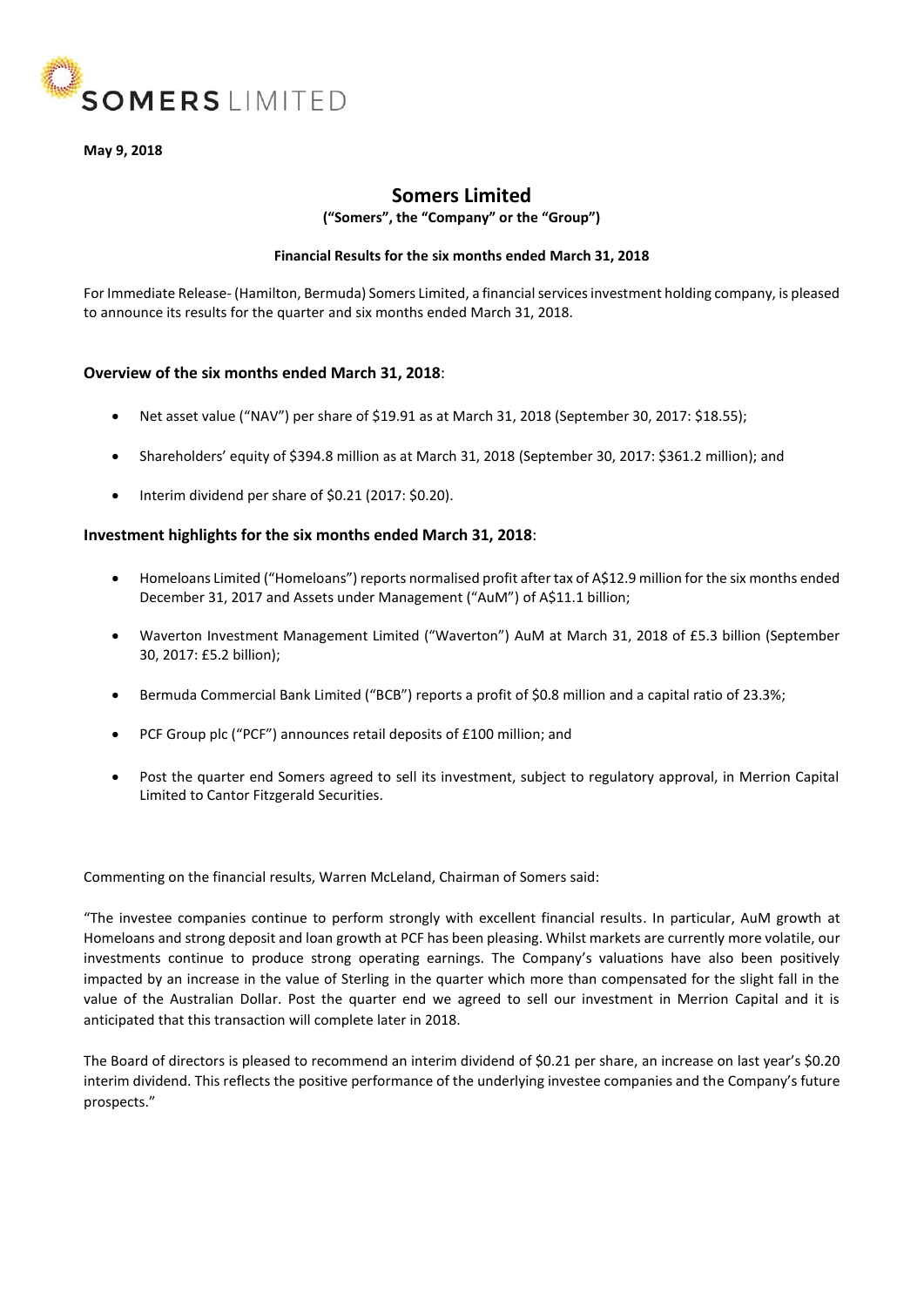

**May 9, 2018**

# **Somers Limited**

**("Somers", the "Company" or the "Group")**

### **Financial Results for the six months ended March 31, 2018**

For Immediate Release- (Hamilton, Bermuda) Somers Limited, a financial services investment holding company, is pleased to announce its results for the quarter and six months ended March 31, 2018.

### **Overview of the six months ended March 31, 2018**:

- Net asset value ("NAV") per share of \$19.91 as at March 31, 2018 (September 30, 2017: \$18.55);
- Shareholders' equity of \$394.8 million as at March 31, 2018 (September 30, 2017: \$361.2 million); and
- Interim dividend per share of \$0.21 (2017: \$0.20).

### **Investment highlights for the six months ended March 31, 2018**:

- Homeloans Limited ("Homeloans") reports normalised profit after tax of A\$12.9 million for the six months ended December 31, 2017 and Assets under Management ("AuM") of A\$11.1 billion;
- Waverton Investment Management Limited ("Waverton") AuM at March 31, 2018 of £5.3 billion (September 30, 2017: £5.2 billion);
- Bermuda Commercial Bank Limited ("BCB") reports a profit of \$0.8 million and a capital ratio of 23.3%;
- PCF Group plc ("PCF") announces retail deposits of £100 million; and
- Post the quarter end Somers agreed to sell its investment, subject to regulatory approval, in Merrion Capital Limited to Cantor Fitzgerald Securities.

Commenting on the financial results, Warren McLeland, Chairman of Somers said:

"The investee companies continue to perform strongly with excellent financial results. In particular, AuM growth at Homeloans and strong deposit and loan growth at PCF has been pleasing. Whilst markets are currently more volatile, our investments continue to produce strong operating earnings. The Company's valuations have also been positively impacted by an increase in the value of Sterling in the quarter which more than compensated for the slight fall in the value of the Australian Dollar. Post the quarter end we agreed to sell our investment in Merrion Capital and it is anticipated that this transaction will complete later in 2018.

The Board of directors is pleased to recommend an interim dividend of \$0.21 per share, an increase on last year's \$0.20 interim dividend. This reflects the positive performance of the underlying investee companies and the Company's future prospects."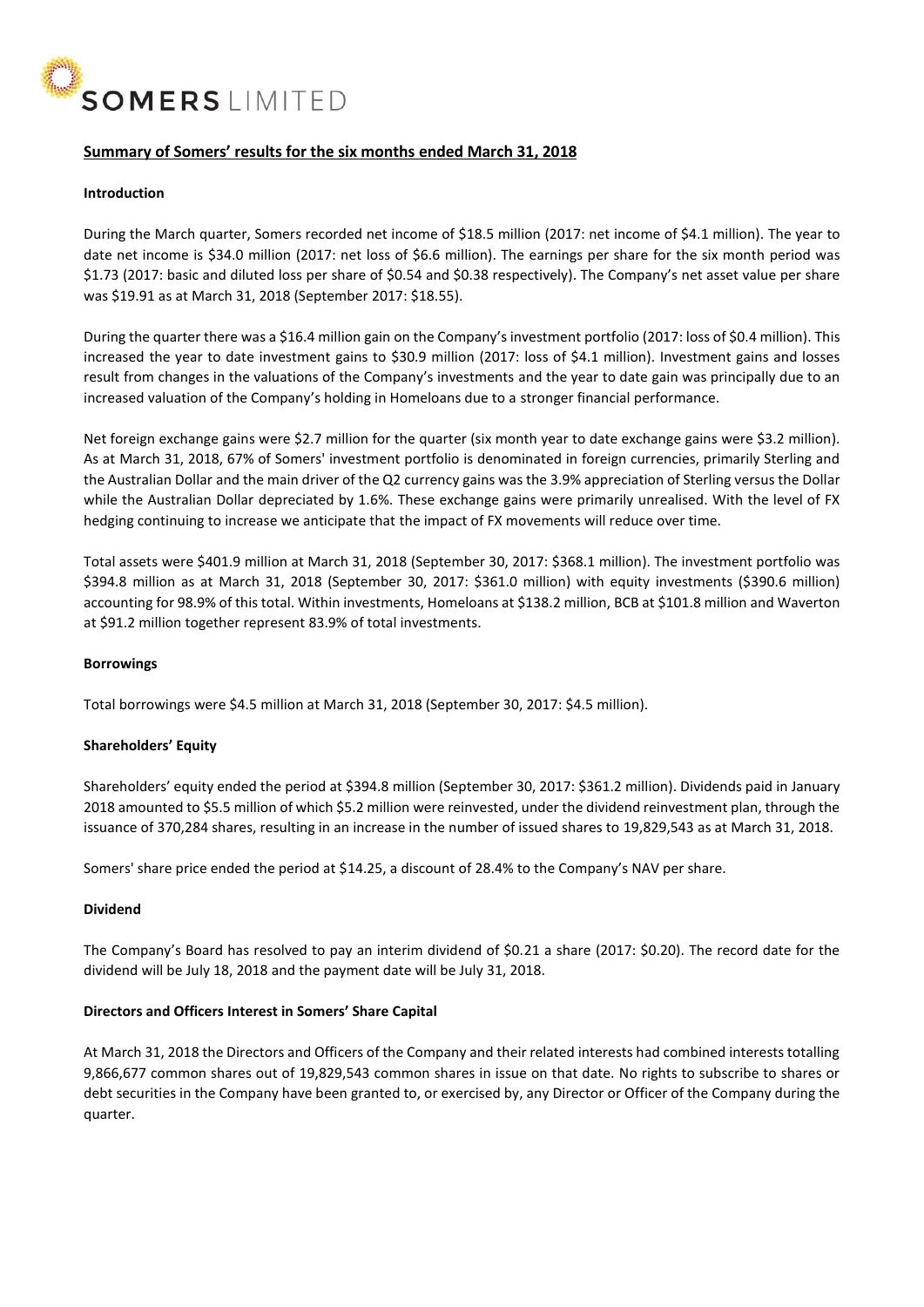

## **Summary of Somers' results for the six months ended March 31, 2018**

### **Introduction**

During the March quarter, Somers recorded net income of \$18.5 million (2017: net income of \$4.1 million). The year to date net income is \$34.0 million (2017: net loss of \$6.6 million). The earnings per share for the six month period was \$1.73 (2017: basic and diluted loss per share of \$0.54 and \$0.38 respectively). The Company's net asset value per share was \$19.91 as at March 31, 2018 (September 2017: \$18.55).

During the quarter there was a \$16.4 million gain on the Company's investment portfolio (2017: loss of \$0.4 million). This increased the year to date investment gains to \$30.9 million (2017: loss of \$4.1 million). Investment gains and losses result from changes in the valuations of the Company's investments and the year to date gain was principally due to an increased valuation of the Company's holding in Homeloans due to a stronger financial performance.

Net foreign exchange gains were \$2.7 million for the quarter (six month year to date exchange gains were \$3.2 million). As at March 31, 2018, 67% of Somers' investment portfolio is denominated in foreign currencies, primarily Sterling and the Australian Dollar and the main driver of the Q2 currency gains was the 3.9% appreciation of Sterling versus the Dollar while the Australian Dollar depreciated by 1.6%. These exchange gains were primarily unrealised. With the level of FX hedging continuing to increase we anticipate that the impact of FX movements will reduce over time.

Total assets were \$401.9 million at March 31, 2018 (September 30, 2017: \$368.1 million). The investment portfolio was \$394.8 million as at March 31, 2018 (September 30, 2017: \$361.0 million) with equity investments (\$390.6 million) accounting for 98.9% of this total. Within investments, Homeloans at \$138.2 million, BCB at \$101.8 million and Waverton at \$91.2 million together represent 83.9% of total investments.

#### **Borrowings**

Total borrowings were \$4.5 million at March 31, 2018 (September 30, 2017: \$4.5 million).

### **Shareholders' Equity**

Shareholders' equity ended the period at \$394.8 million (September 30, 2017: \$361.2 million). Dividends paid in January 2018 amounted to \$5.5 million of which \$5.2 million were reinvested, under the dividend reinvestment plan, through the issuance of 370,284 shares, resulting in an increase in the number of issued shares to 19,829,543 as at March 31, 2018.

Somers' share price ended the period at \$14.25, a discount of 28.4% to the Company's NAV per share.

#### **Dividend**

The Company's Board has resolved to pay an interim dividend of \$0.21 a share (2017: \$0.20). The record date for the dividend will be July 18, 2018 and the payment date will be July 31, 2018.

### **Directors and Officers Interest in Somers' Share Capital**

At March 31, 2018 the Directors and Officers of the Company and their related interests had combined interests totalling 9,866,677 common shares out of 19,829,543 common shares in issue on that date. No rights to subscribe to shares or debt securities in the Company have been granted to, or exercised by, any Director or Officer of the Company during the quarter.